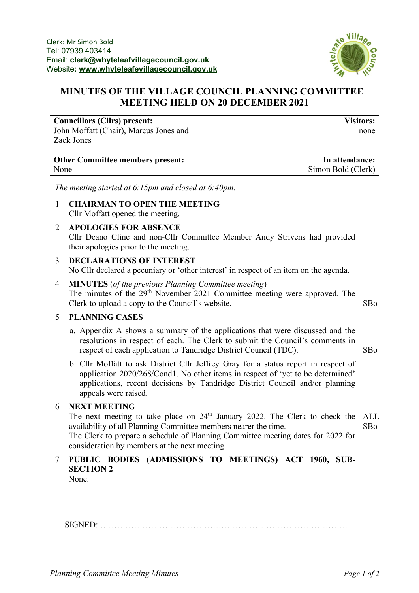

## **MINUTES OF THE VILLAGE COUNCIL PLANNING COMMITTEE MEETING HELD ON 20 DECEMBER 2021**

#### **Councillors (Cllrs) present:** John Moffatt (Chair), Marcus Jones and Zack Jones

**Other Committee members present:** None

**Visitors:** none

**In attendance:** Simon Bold (Clerk)

*The meeting started at 6:15pm and closed at 6:40pm.*

- 1 **CHAIRMAN TO OPEN THE MEETING** Cllr Moffatt opened the meeting.
- 2 **APOLOGIES FOR ABSENCE** Cllr Deano Cline and non-Cllr Committee Member Andy Strivens had provided their apologies prior to the meeting.
- 3 **DECLARATIONS OF INTEREST** No Cllr declared a pecuniary or 'other interest' in respect of an item on the agenda.
- 4 **MINUTES** (*of the previous Planning Committee meeting*) The minutes of the 29<sup>th</sup> November 2021 Committee meeting were approved. The Clerk to upload a copy to the Council's website. SBo

#### 5 **PLANNING CASES**

- a. Appendix A shows a summary of the applications that were discussed and the resolutions in respect of each. The Clerk to submit the Council's comments in respect of each application to Tandridge District Council (TDC). SBo
- b. Cllr Moffatt to ask District Cllr Jeffrey Gray for a status report in respect of application 2020/268/Cond1. No other items in respect of 'yet to be determined' applications, recent decisions by Tandridge District Council and/or planning appeals were raised.

#### 6 **NEXT MEETING**

The next meeting to take place on 24<sup>th</sup> January 2022. The Clerk to check the ALL availability of all Planning Committee members nearer the time. The Clerk to prepare a schedule of Planning Committee meeting dates for 2022 for consideration by members at the next meeting. SBo

# 7 **PUBLIC BODIES (ADMISSIONS TO MEETINGS) ACT 1960, SUB-SECTION 2**

None.

SIGNED: …………………………………………………………………………….